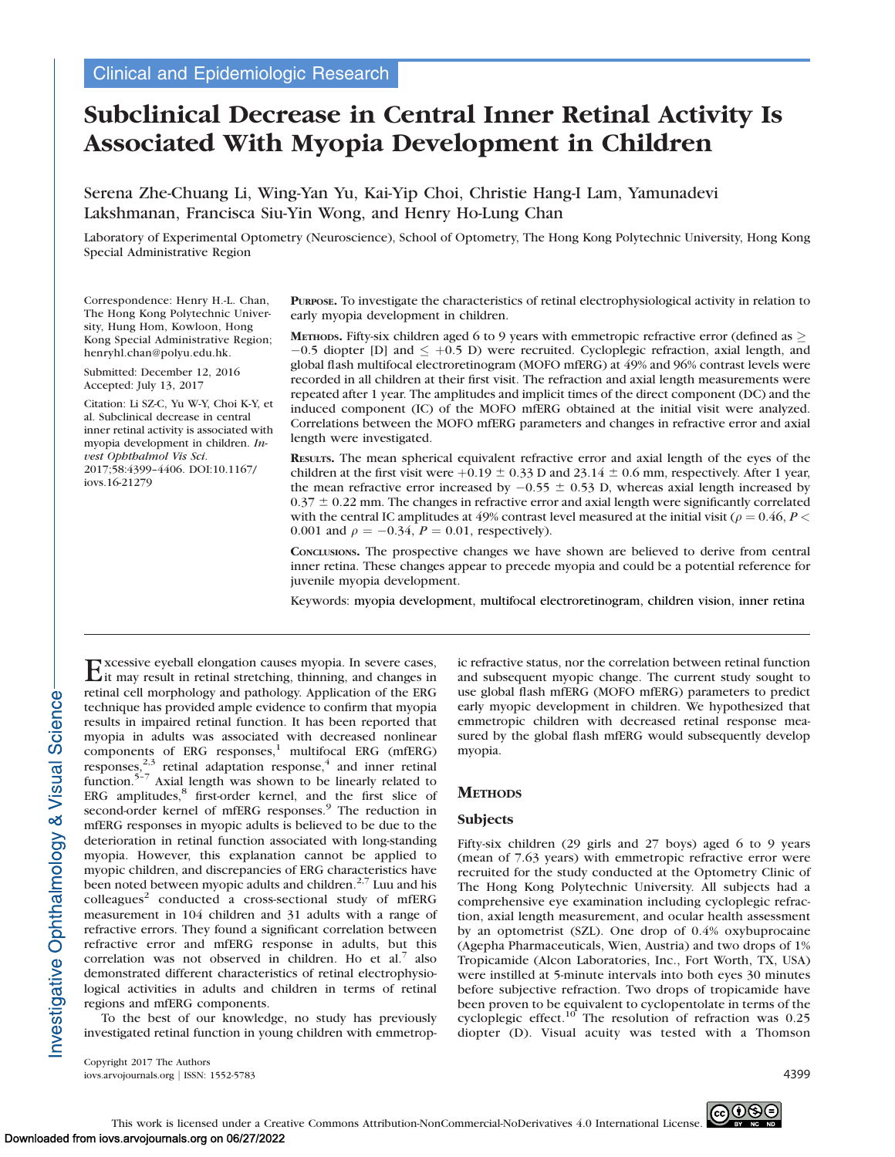# Subclinical Decrease in Central Inner Retinal Activity Is Associated With Myopia Development in Children

Serena Zhe-Chuang Li, Wing-Yan Yu, Kai-Yip Choi, Christie Hang-I Lam, Yamunadevi Lakshmanan, Francisca Siu-Yin Wong, and Henry Ho-Lung Chan

Laboratory of Experimental Optometry (Neuroscience), School of Optometry, The Hong Kong Polytechnic University, Hong Kong Special Administrative Region

Correspondence: Henry H.-L. Chan, The Hong Kong Polytechnic University, Hung Hom, Kowloon, Hong Kong Special Administrative Region; henryhl.chan@polyu.edu.hk.

Submitted: December 12, 2016 Accepted: July 13, 2017

Citation: Li SZ-C, Yu W-Y, Choi K-Y, et al. Subclinical decrease in central inner retinal activity is associated with myopia development in children. Invest Ophthalmol Vis Sci. 2017;58:4399–4406. DOI:10.1167/ iovs.16-21279

PURPOSE. To investigate the characteristics of retinal electrophysiological activity in relation to early myopia development in children.

METHODS. Fifty-six children aged 6 to 9 years with emmetropic refractive error (defined as  $\geq$  $-0.5$  diopter [D] and  $\leq +0.5$  D) were recruited. Cycloplegic refraction, axial length, and global flash multifocal electroretinogram (MOFO mfERG) at 49% and 96% contrast levels were recorded in all children at their first visit. The refraction and axial length measurements were repeated after 1 year. The amplitudes and implicit times of the direct component (DC) and the induced component (IC) of the MOFO mfERG obtained at the initial visit were analyzed. Correlations between the MOFO mfERG parameters and changes in refractive error and axial length were investigated.

RESULTS. The mean spherical equivalent refractive error and axial length of the eyes of the children at the first visit were  $+0.19 \pm 0.33$  D and 23.14  $\pm$  0.6 mm, respectively. After 1 year, the mean refractive error increased by  $-0.55 \pm 0.53$  D, whereas axial length increased by  $0.37 \pm 0.22$  mm. The changes in refractive error and axial length were significantly correlated with the central IC amplitudes at 49% contrast level measured at the initial visit ( $\rho = 0.46$ ,  $P \lt \theta$ ) 0.001 and  $\rho = -0.34$ ,  $P = 0.01$ , respectively).

CONCLUSIONS. The prospective changes we have shown are believed to derive from central inner retina. These changes appear to precede myopia and could be a potential reference for juvenile myopia development.

Keywords: myopia development, multifocal electroretinogram, children vision, inner retina

Excessive eyeball elongation causes myopia. In severe cases, it may result in retinal stretching, thinning, and changes in retinal cell morphology and pathology. Application of the ERG technique has provided ample evidence to confirm that myopia results in impaired retinal function. It has been reported that myopia in adults was associated with decreased nonlinear components of ERG responses, $<sup>1</sup>$  multifocal ERG (mfERG)</sup>  $r$ esponses, $2,3$  retinal adaptation response, $4$  and inner retinal function.<sup>5-7</sup> Axial length was shown to be linearly related to ERG amplitudes,<sup>8</sup> first-order kernel, and the first slice of second-order kernel of mfERG responses.<sup>9</sup> The reduction in mfERG responses in myopic adults is believed to be due to the deterioration in retinal function associated with long-standing myopia. However, this explanation cannot be applied to myopic children, and discrepancies of ERG characteristics have been noted between myopic adults and children.<sup>2,7</sup> Luu and his  $colleagues<sup>2</sup>$  conducted a cross-sectional study of mfERG measurement in 104 children and 31 adults with a range of refractive errors. They found a significant correlation between refractive error and mfERG response in adults, but this correlation was not observed in children. Ho et al.<sup>7</sup> also demonstrated different characteristics of retinal electrophysiological activities in adults and children in terms of retinal regions and mfERG components.

To the best of our knowledge, no study has previously investigated retinal function in young children with emmetrop-

Copyright 2017 The Authors iovs.arvojournals.org j ISSN: 1552-5783 4399

ic refractive status, nor the correlation between retinal function and subsequent myopic change. The current study sought to use global flash mfERG (MOFO mfERG) parameters to predict early myopic development in children. We hypothesized that emmetropic children with decreased retinal response measured by the global flash mfERG would subsequently develop myopia.

## **METHODS**

### Subjects

Fifty-six children (29 girls and 27 boys) aged 6 to 9 years (mean of 7.63 years) with emmetropic refractive error were recruited for the study conducted at the Optometry Clinic of The Hong Kong Polytechnic University. All subjects had a comprehensive eye examination including cycloplegic refraction, axial length measurement, and ocular health assessment by an optometrist (SZL). One drop of 0.4% oxybuprocaine (Agepha Pharmaceuticals, Wien, Austria) and two drops of 1% Tropicamide (Alcon Laboratories, Inc., Fort Worth, TX, USA) were instilled at 5-minute intervals into both eyes 30 minutes before subjective refraction. Two drops of tropicamide have been proven to be equivalent to cyclopentolate in terms of the cycloplegic effect.<sup>10</sup> The resolution of refraction was 0.25 diopter (D). Visual acuity was tested with a Thomson

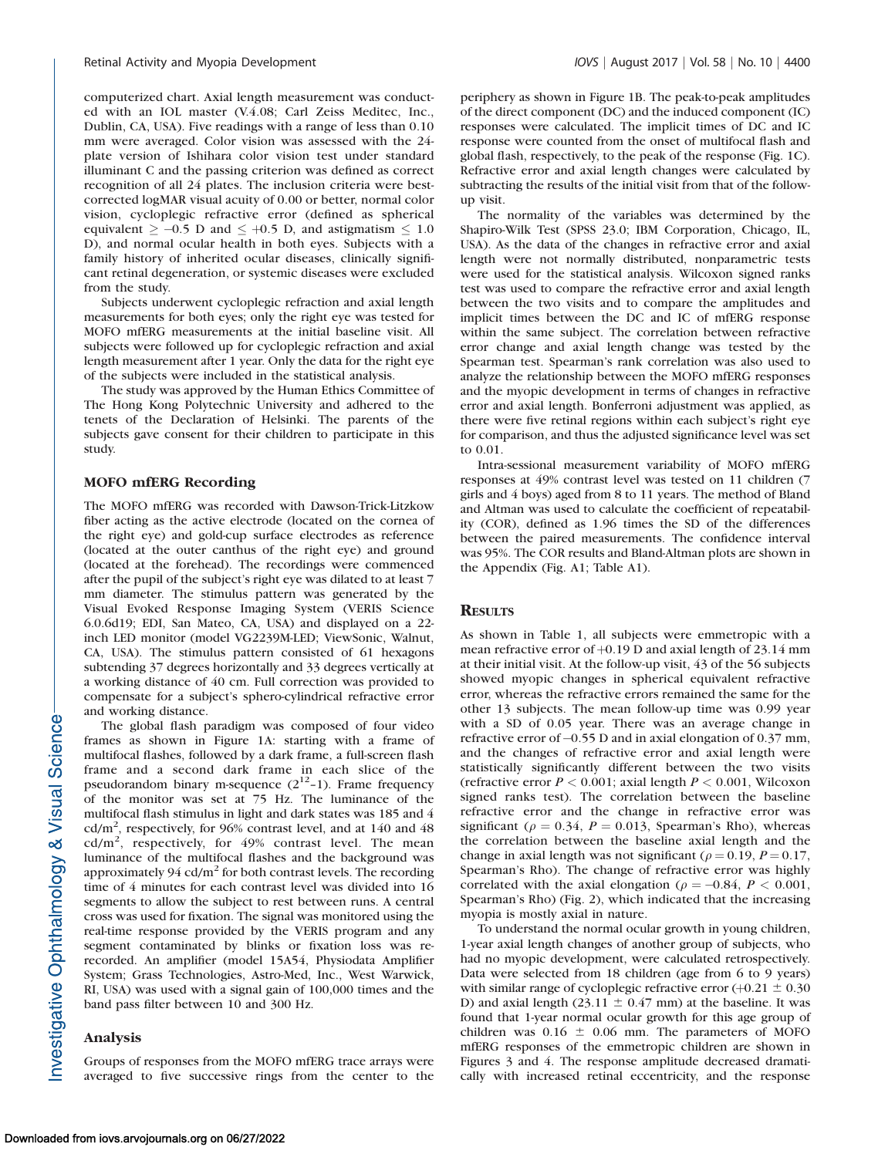computerized chart. Axial length measurement was conducted with an IOL master (V.4.08; Carl Zeiss Meditec, Inc., Dublin, CA, USA). Five readings with a range of less than 0.10 mm were averaged. Color vision was assessed with the 24 plate version of Ishihara color vision test under standard illuminant C and the passing criterion was defined as correct recognition of all 24 plates. The inclusion criteria were bestcorrected logMAR visual acuity of 0.00 or better, normal color vision, cycloplegic refractive error (defined as spherical equivalent  $\ge -0.5$  D and  $\le +0.5$  D, and astigmatism  $\le 1.0$ D), and normal ocular health in both eyes. Subjects with a family history of inherited ocular diseases, clinically significant retinal degeneration, or systemic diseases were excluded from the study.

Subjects underwent cycloplegic refraction and axial length measurements for both eyes; only the right eye was tested for MOFO mfERG measurements at the initial baseline visit. All subjects were followed up for cycloplegic refraction and axial length measurement after 1 year. Only the data for the right eye of the subjects were included in the statistical analysis.

The study was approved by the Human Ethics Committee of The Hong Kong Polytechnic University and adhered to the tenets of the Declaration of Helsinki. The parents of the subjects gave consent for their children to participate in this study.

#### MOFO mfERG Recording

The MOFO mfERG was recorded with Dawson-Trick-Litzkow fiber acting as the active electrode (located on the cornea of the right eye) and gold-cup surface electrodes as reference (located at the outer canthus of the right eye) and ground (located at the forehead). The recordings were commenced after the pupil of the subject's right eye was dilated to at least 7 mm diameter. The stimulus pattern was generated by the Visual Evoked Response Imaging System (VERIS Science 6.0.6d19; EDI, San Mateo, CA, USA) and displayed on a 22 inch LED monitor (model VG2239M-LED; ViewSonic, Walnut, CA, USA). The stimulus pattern consisted of 61 hexagons subtending 37 degrees horizontally and 33 degrees vertically at a working distance of 40 cm. Full correction was provided to compensate for a subject's sphero-cylindrical refractive error and working distance.

The global flash paradigm was composed of four video frames as shown in Figure 1A: starting with a frame of multifocal flashes, followed by a dark frame, a full-screen flash frame and a second dark frame in each slice of the pseudorandom binary m-sequence  $(2^{12}-1)$ . Frame frequency of the monitor was set at 75 Hz. The luminance of the multifocal flash stimulus in light and dark states was 185 and 4 cd/m<sup>2</sup>, respectively, for 96% contrast level, and at 140 and 48  $cd/m<sup>2</sup>$ , respectively, for 49% contrast level. The mean luminance of the multifocal flashes and the background was approximately  $94 \text{ cd/m}^2$  for both contrast levels. The recording time of 4 minutes for each contrast level was divided into 16 segments to allow the subject to rest between runs. A central cross was used for fixation. The signal was monitored using the real-time response provided by the VERIS program and any segment contaminated by blinks or fixation loss was rerecorded. An amplifier (model 15A54, Physiodata Amplifier System; Grass Technologies, Astro-Med, Inc., West Warwick, RI, USA) was used with a signal gain of 100,000 times and the band pass filter between 10 and 300 Hz.

#### Analysis

Groups of responses from the MOFO mfERG trace arrays were averaged to five successive rings from the center to the periphery as shown in Figure 1B. The peak-to-peak amplitudes of the direct component (DC) and the induced component (IC) responses were calculated. The implicit times of DC and IC response were counted from the onset of multifocal flash and global flash, respectively, to the peak of the response (Fig. 1C). Refractive error and axial length changes were calculated by subtracting the results of the initial visit from that of the followup visit.

The normality of the variables was determined by the Shapiro-Wilk Test (SPSS 23.0; IBM Corporation, Chicago, IL, USA). As the data of the changes in refractive error and axial length were not normally distributed, nonparametric tests were used for the statistical analysis. Wilcoxon signed ranks test was used to compare the refractive error and axial length between the two visits and to compare the amplitudes and implicit times between the DC and IC of mfERG response within the same subject. The correlation between refractive error change and axial length change was tested by the Spearman test. Spearman's rank correlation was also used to analyze the relationship between the MOFO mfERG responses and the myopic development in terms of changes in refractive error and axial length. Bonferroni adjustment was applied, as there were five retinal regions within each subject's right eye for comparison, and thus the adjusted significance level was set to 0.01.

Intra-sessional measurement variability of MOFO mfERG responses at 49% contrast level was tested on 11 children (7 girls and 4 boys) aged from 8 to 11 years. The method of Bland and Altman was used to calculate the coefficient of repeatability (COR), defined as 1.96 times the SD of the differences between the paired measurements. The confidence interval was 95%. The COR results and Bland-Altman plots are shown in the Appendix (Fig. A1; Table A1).

#### **RESULTS**

As shown in Table 1, all subjects were emmetropic with a mean refractive error of  $+0.19$  D and axial length of 23.14 mm at their initial visit. At the follow-up visit, 43 of the 56 subjects showed myopic changes in spherical equivalent refractive error, whereas the refractive errors remained the same for the other 13 subjects. The mean follow-up time was 0.99 year with a SD of 0.05 year. There was an average change in refractive error of-0.55 D and in axial elongation of 0.37 mm, and the changes of refractive error and axial length were statistically significantly different between the two visits (refractive error  $P < 0.001$ ; axial length  $P < 0.001$ , Wilcoxon signed ranks test). The correlation between the baseline refractive error and the change in refractive error was significant ( $\rho = 0.34$ ,  $P = 0.013$ , Spearman's Rho), whereas the correlation between the baseline axial length and the change in axial length was not significant ( $\rho = 0.19$ ,  $P = 0.17$ , Spearman's Rho). The change of refractive error was highly correlated with the axial elongation ( $\rho = -0.84$ ,  $P < 0.001$ , Spearman's Rho) (Fig. 2), which indicated that the increasing myopia is mostly axial in nature.

To understand the normal ocular growth in young children, 1-year axial length changes of another group of subjects, who had no myopic development, were calculated retrospectively. Data were selected from 18 children (age from 6 to 9 years) with similar range of cycloplegic refractive error  $(+0.21 \pm 0.30)$ D) and axial length (23.11  $\pm$  0.47 mm) at the baseline. It was found that 1-year normal ocular growth for this age group of children was  $0.16 \pm 0.06$  mm. The parameters of MOFO mfERG responses of the emmetropic children are shown in Figures 3 and 4. The response amplitude decreased dramatically with increased retinal eccentricity, and the response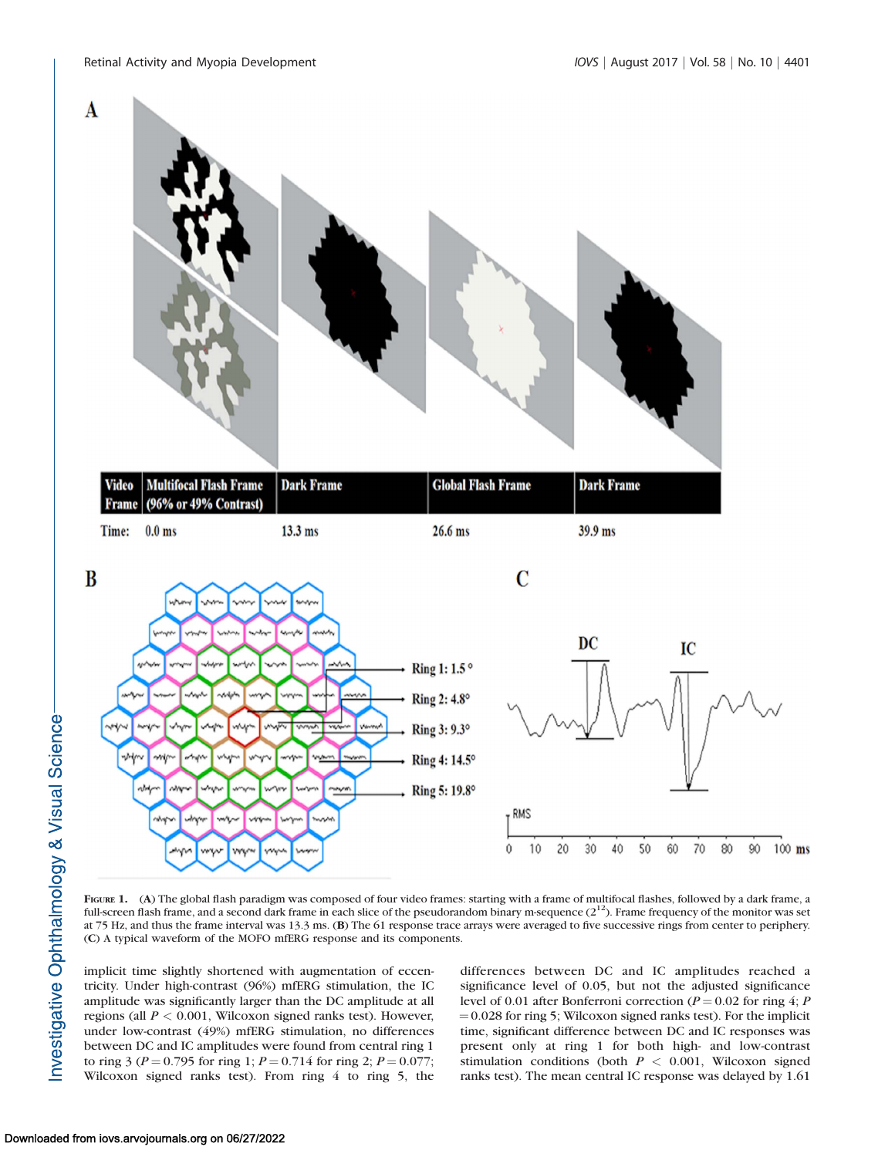

FIGURE 1. (A) The global flash paradigm was composed of four video frames: starting with a frame of multifocal flashes, followed by a dark frame, a full-screen flash frame, and a second dark frame in each slice of the pseudorandom binary m-sequence  $(2^{12})$ . Frame frequency of the monitor was set at 75 Hz, and thus the frame interval was 13.3 ms. (B) The 61 response trace arrays were averaged to five successive rings from center to periphery. (C) A typical waveform of the MOFO mfERG response and its components.

implicit time slightly shortened with augmentation of eccentricity. Under high-contrast (96%) mfERG stimulation, the IC amplitude was significantly larger than the DC amplitude at all regions (all  $P < 0.001$ , Wilcoxon signed ranks test). However, under low-contrast (49%) mfERG stimulation, no differences between DC and IC amplitudes were found from central ring 1 to ring 3 ( $P = 0.795$  for ring 1;  $P = 0.714$  for ring 2;  $P = 0.077$ ; Wilcoxon signed ranks test). From ring 4 to ring 5, the

differences between DC and IC amplitudes reached a significance level of 0.05, but not the adjusted significance level of 0.01 after Bonferroni correction ( $P = 0.02$  for ring 4; P  $=0.028$  for ring 5; Wilcoxon signed ranks test). For the implicit time, significant difference between DC and IC responses was present only at ring 1 for both high- and low-contrast stimulation conditions (both  $P < 0.001$ , Wilcoxon signed ranks test). The mean central IC response was delayed by 1.61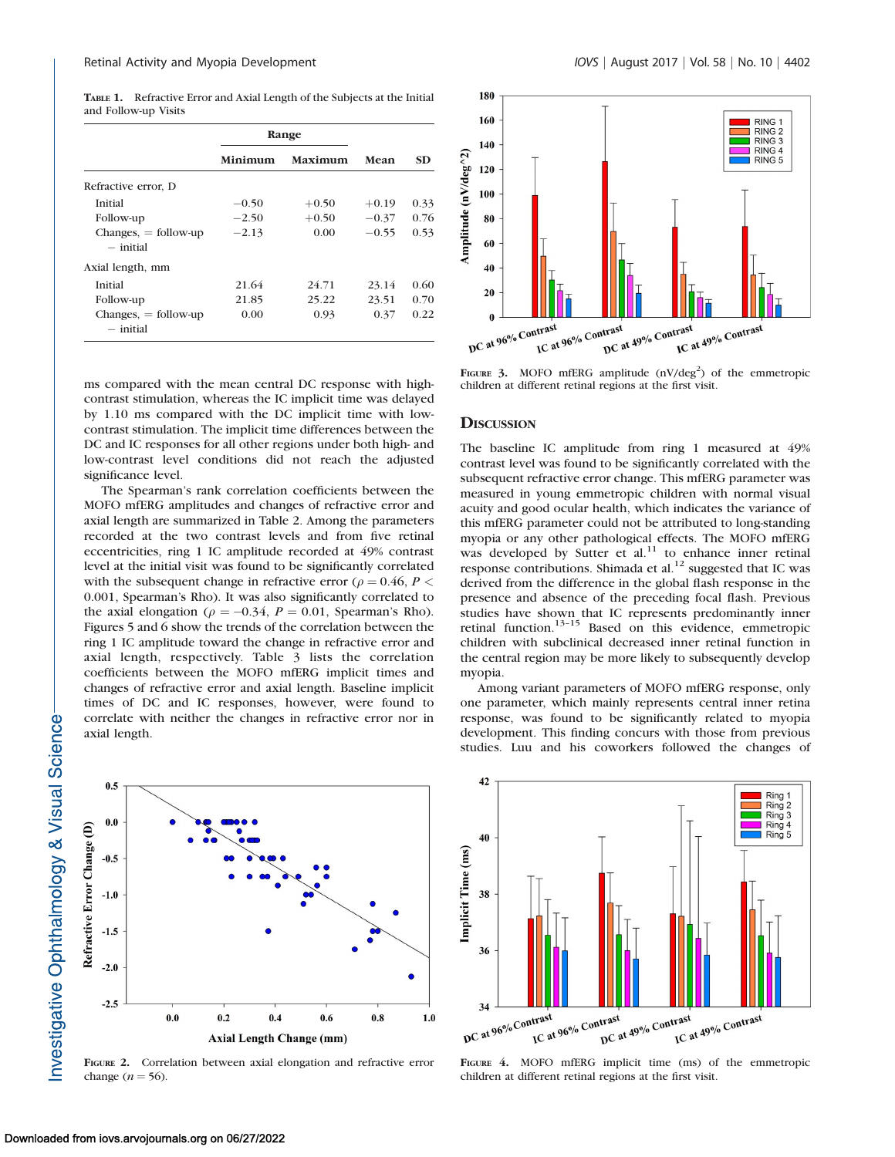TABLE 1. Refractive Error and Axial Length of the Subjects at the Initial and Follow-up Visits

|                                          | Range   |         |         |      |
|------------------------------------------|---------|---------|---------|------|
|                                          | Minimum | Maximum | Mean    | SD   |
| Refractive error, D                      |         |         |         |      |
| Initial                                  | $-0.50$ | $+0.50$ | $+0.19$ | 0.33 |
| Follow-up                                | $-2.50$ | $+0.50$ | $-0.37$ | 0.76 |
| $Changes$ , $=$ follow-up<br>$-$ initial | $-2.13$ | 0.00    | $-0.55$ | 0.53 |
| Axial length, mm                         |         |         |         |      |
| Initial                                  | 21.64   | 24.71   | 23.14   | 0.60 |
| Follow-up                                | 21.85   | 25.22   | 23.51   | 0.70 |
| $Changes, = follow-up$<br>$-$ initial    | 0.00    | 0.93    | 0.37    | 0.22 |

ms compared with the mean central DC response with highcontrast stimulation, whereas the IC implicit time was delayed by 1.10 ms compared with the DC implicit time with lowcontrast stimulation. The implicit time differences between the DC and IC responses for all other regions under both high- and low-contrast level conditions did not reach the adjusted significance level.

The Spearman's rank correlation coefficients between the MOFO mfERG amplitudes and changes of refractive error and axial length are summarized in Table 2. Among the parameters recorded at the two contrast levels and from five retinal eccentricities, ring 1 IC amplitude recorded at 49% contrast level at the initial visit was found to be significantly correlated with the subsequent change in refractive error ( $\rho = 0.46$ ,  $P <$ 0.001, Spearman's Rho). It was also significantly correlated to the axial elongation ( $\rho = -0.34$ ,  $P = 0.01$ , Spearman's Rho). Figures 5 and 6 show the trends of the correlation between the ring 1 IC amplitude toward the change in refractive error and axial length, respectively. Table 3 lists the correlation coefficients between the MOFO mfERG implicit times and changes of refractive error and axial length. Baseline implicit times of DC and IC responses, however, were found to correlate with neither the changes in refractive error nor in axial length.



FIGURE 2. Correlation between axial elongation and refractive error change ( $n = 56$ ).

 $0.8$ 

 $1.0$ 



FIGURE 3. MOFO mfERG amplitude  $(nV/deg^2)$  of the emmetropic children at different retinal regions at the first visit.

#### **DISCUSSION**

The baseline IC amplitude from ring 1 measured at 49% contrast level was found to be significantly correlated with the subsequent refractive error change. This mfERG parameter was measured in young emmetropic children with normal visual acuity and good ocular health, which indicates the variance of this mfERG parameter could not be attributed to long-standing myopia or any other pathological effects. The MOFO mfERG was developed by Sutter et al.<sup>11</sup> to enhance inner retinal response contributions. Shimada et al.<sup>12</sup> suggested that IC was derived from the difference in the global flash response in the presence and absence of the preceding focal flash. Previous studies have shown that IC represents predominantly inner retinal function.13–15 Based on this evidence, emmetropic children with subclinical decreased inner retinal function in the central region may be more likely to subsequently develop myopia.

Among variant parameters of MOFO mfERG response, only one parameter, which mainly represents central inner retina response, was found to be significantly related to myopia development. This finding concurs with those from previous studies. Luu and his coworkers followed the changes of



FIGURE 4. MOFO mfERG implicit time (ms) of the emmetropic children at different retinal regions at the first visit.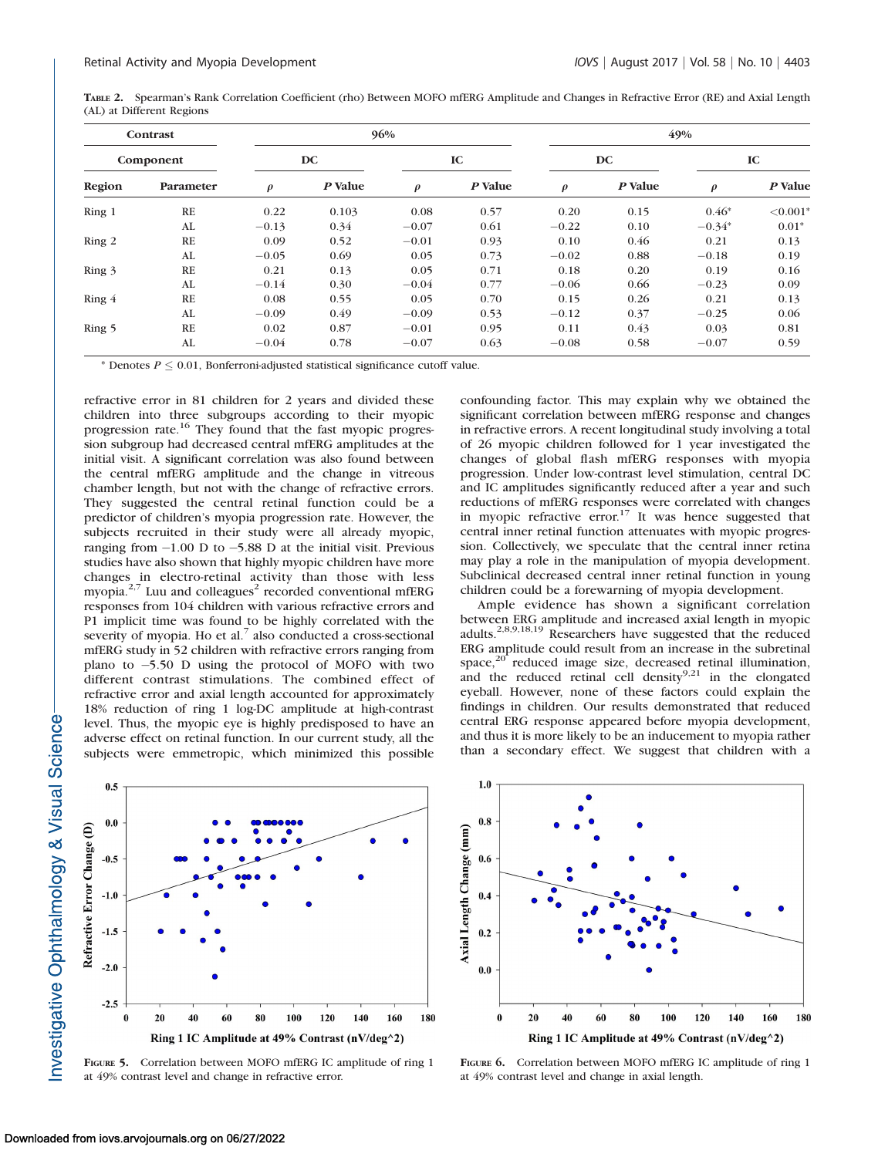TABLE 2. Spearman's Rank Correlation Coefficient (rho) Between MOFO mfERG Amplitude and Changes in Refractive Error (RE) and Axial Length (AL) at Different Regions

| Contrast<br>Component |           | 96%       |         |         |         | 49%       |         |          |             |
|-----------------------|-----------|-----------|---------|---------|---------|-----------|---------|----------|-------------|
|                       |           | <b>DC</b> |         | IC      |         | <b>DC</b> |         | IC       |             |
| Region                | Parameter | $\rho$    | P Value | $\rho$  | P Value | $\rho$    | P Value | $\rho$   | P Value     |
| Ring 1                | <b>RE</b> | 0.22      | 0.103   | 0.08    | 0.57    | 0.20      | 0.15    | $0.46*$  | ${<}0.001*$ |
|                       | AL        | $-0.13$   | 0.34    | $-0.07$ | 0.61    | $-0.22$   | 0.10    | $-0.34*$ | $0.01*$     |
| Ring 2                | <b>RE</b> | 0.09      | 0.52    | $-0.01$ | 0.93    | 0.10      | 0.46    | 0.21     | 0.13        |
|                       | AL        | $-0.05$   | 0.69    | 0.05    | 0.73    | $-0.02$   | 0.88    | $-0.18$  | 0.19        |
| Ring <sub>3</sub>     | <b>RE</b> | 0.21      | 0.13    | 0.05    | 0.71    | 0.18      | 0.20    | 0.19     | 0.16        |
|                       | AL        | $-0.14$   | 0.30    | $-0.04$ | 0.77    | $-0.06$   | 0.66    | $-0.23$  | 0.09        |
| Ring 4                | <b>RE</b> | 0.08      | 0.55    | 0.05    | 0.70    | 0.15      | 0.26    | 0.21     | 0.13        |
|                       | AL        | $-0.09$   | 0.49    | $-0.09$ | 0.53    | $-0.12$   | 0.37    | $-0.25$  | 0.06        |
| Ring 5                | <b>RE</b> | 0.02      | 0.87    | $-0.01$ | 0.95    | 0.11      | 0.43    | 0.03     | 0.81        |
|                       | AL        | $-0.04$   | 0.78    | $-0.07$ | 0.63    | $-0.08$   | 0.58    | $-0.07$  | 0.59        |

\* Denotes  $P \leq 0.01$ , Bonferroni-adjusted statistical significance cutoff value.

refractive error in 81 children for 2 years and divided these children into three subgroups according to their myopic progression rate.<sup>16</sup> They found that the fast myopic progression subgroup had decreased central mfERG amplitudes at the initial visit. A significant correlation was also found between the central mfERG amplitude and the change in vitreous chamber length, but not with the change of refractive errors. They suggested the central retinal function could be a predictor of children's myopia progression rate. However, the subjects recruited in their study were all already myopic, ranging from  $-1.00$  D to  $-5.88$  D at the initial visit. Previous studies have also shown that highly myopic children have more changes in electro-retinal activity than those with less myopia. $2,7$  Luu and colleagues<sup>2</sup> recorded conventional mfERG responses from 104 children with various refractive errors and P1 implicit time was found to be highly correlated with the severity of myopia. Ho et al. $<sup>7</sup>$  also conducted a cross-sectional</sup> mfERG study in 52 children with refractive errors ranging from plano to -5.50 D using the protocol of MOFO with two different contrast stimulations. The combined effect of refractive error and axial length accounted for approximately 18% reduction of ring 1 log-DC amplitude at high-contrast level. Thus, the myopic eye is highly predisposed to have an adverse effect on retinal function. In our current study, all the subjects were emmetropic, which minimized this possible confounding factor. This may explain why we obtained the significant correlation between mfERG response and changes in refractive errors. A recent longitudinal study involving a total of 26 myopic children followed for 1 year investigated the changes of global flash mfERG responses with myopia progression. Under low-contrast level stimulation, central DC and IC amplitudes significantly reduced after a year and such reductions of mfERG responses were correlated with changes<br>in myopic refractive error.<sup>17</sup> It was hence suggested that central inner retinal function attenuates with myopic progression. Collectively, we speculate that the central inner retina may play a role in the manipulation of myopia development. Subclinical decreased central inner retinal function in young children could be a forewarning of myopia development.

Ample evidence has shown a significant correlation between ERG amplitude and increased axial length in myopic adults.2,8,9,18,19 Researchers have suggested that the reduced ERG amplitude could result from an increase in the subretinal space, $20$  reduced image size, decreased retinal illumination, and the reduced retinal cell density $9,21$  in the elongated eyeball. However, none of these factors could explain the findings in children. Our results demonstrated that reduced central ERG response appeared before myopia development, and thus it is more likely to be an inducement to myopia rather than a secondary effect. We suggest that children with a



FIGURE 5. Correlation between MOFO mfERG IC amplitude of ring 1 at 49% contrast level and change in refractive error.



FIGURE 6. Correlation between MOFO mfERG IC amplitude of ring 1 at 49% contrast level and change in axial length.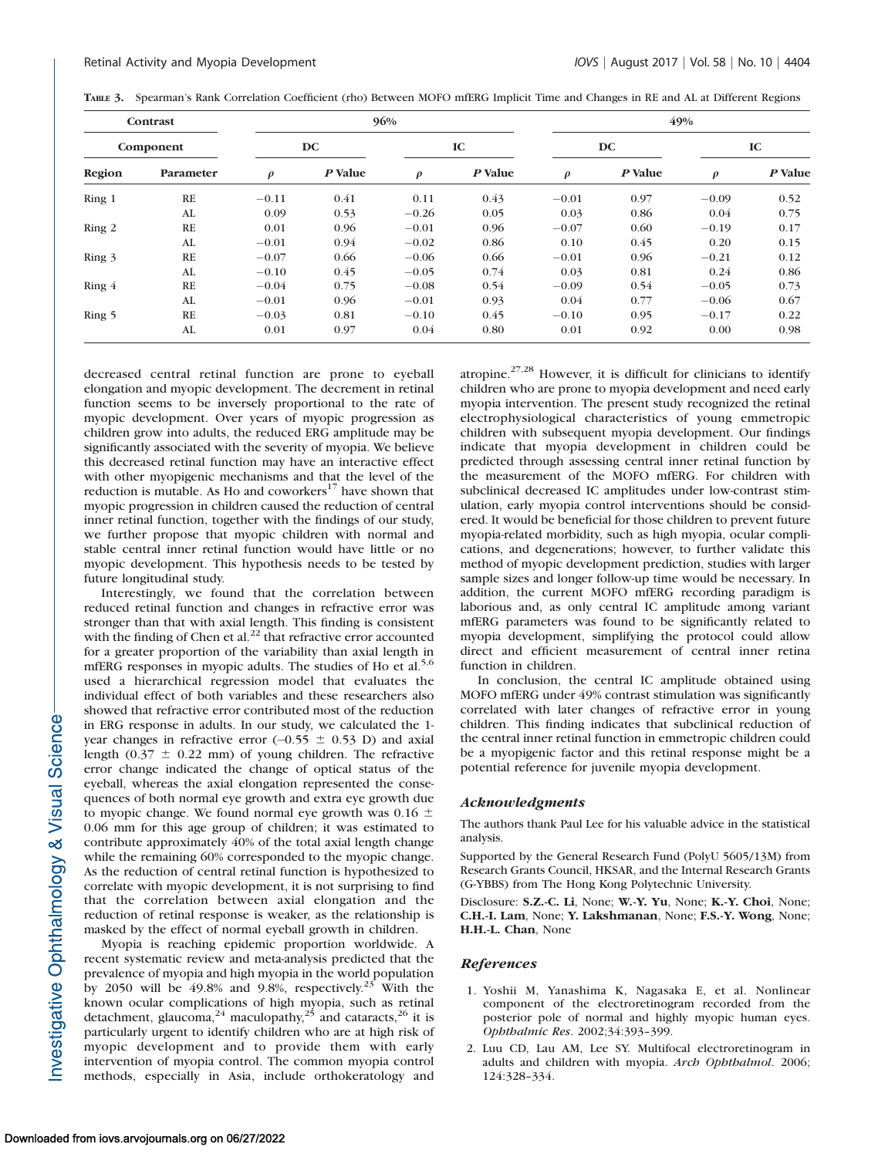|  |  |  |  |  |  |  | TABLE 3. Spearman's Rank Correlation Coefficient (rho) Between MOFO mfERG Implicit Time and Changes in RE and AL at Different Regions |
|--|--|--|--|--|--|--|---------------------------------------------------------------------------------------------------------------------------------------|
|--|--|--|--|--|--|--|---------------------------------------------------------------------------------------------------------------------------------------|

| Contrast<br>Component |           | 96%       |         |         |         | 49%       |         |         |         |
|-----------------------|-----------|-----------|---------|---------|---------|-----------|---------|---------|---------|
|                       |           | <b>DC</b> |         | IC      |         | <b>DC</b> |         | IC      |         |
| Region                | Parameter | $\rho$    | P Value | $\rho$  | P Value | $\rho$    | P Value | $\rho$  | P Value |
| Ring 1                | RE        | $-0.11$   | 0.41    | 0.11    | 0.43    | $-0.01$   | 0.97    | $-0.09$ | 0.52    |
|                       | AL        | 0.09      | 0.53    | $-0.26$ | 0.05    | 0.03      | 0.86    | 0.04    | 0.75    |
| Ring <sub>2</sub>     | <b>RE</b> | 0.01      | 0.96    | $-0.01$ | 0.96    | $-0.07$   | 0.60    | $-0.19$ | 0.17    |
|                       | AL        | $-0.01$   | 0.94    | $-0.02$ | 0.86    | 0.10      | 0.45    | 0.20    | 0.15    |
| Ring <sub>3</sub>     | RE        | $-0.07$   | 0.66    | $-0.06$ | 0.66    | $-0.01$   | 0.96    | $-0.21$ | 0.12    |
|                       | AL        | $-0.10$   | 0.45    | $-0.05$ | 0.74    | 0.03      | 0.81    | 0.24    | 0.86    |
| Ring 4                | RE        | $-0.04$   | 0.75    | $-0.08$ | 0.54    | $-0.09$   | 0.54    | $-0.05$ | 0.73    |
|                       | AL        | $-0.01$   | 0.96    | $-0.01$ | 0.93    | 0.04      | 0.77    | $-0.06$ | 0.67    |
| Ring 5                | RE        | $-0.03$   | 0.81    | $-0.10$ | 0.45    | $-0.10$   | 0.95    | $-0.17$ | 0.22    |
|                       | AL        | 0.01      | 0.97    | 0.04    | 0.80    | 0.01      | 0.92    | 0.00    | 0.98    |

decreased central retinal function are prone to eyeball elongation and myopic development. The decrement in retinal function seems to be inversely proportional to the rate of myopic development. Over years of myopic progression as children grow into adults, the reduced ERG amplitude may be significantly associated with the severity of myopia. We believe this decreased retinal function may have an interactive effect with other myopigenic mechanisms and that the level of the reduction is mutable. As Ho and coworkers $17$  have shown that myopic progression in children caused the reduction of central inner retinal function, together with the findings of our study, we further propose that myopic children with normal and stable central inner retinal function would have little or no myopic development. This hypothesis needs to be tested by future longitudinal study.

Interestingly, we found that the correlation between reduced retinal function and changes in refractive error was stronger than that with axial length. This finding is consistent with the finding of Chen et al. $^{22}$  that refractive error accounted for a greater proportion of the variability than axial length in mfERG responses in myopic adults. The studies of Ho et al.<sup>5,6</sup> used a hierarchical regression model that evaluates the individual effect of both variables and these researchers also showed that refractive error contributed most of the reduction in ERG response in adults. In our study, we calculated the 1 year changes in refractive error  $(-0.55 \pm 0.53 \text{ D})$  and axial length (0.37  $\pm$  0.22 mm) of young children. The refractive error change indicated the change of optical status of the eyeball, whereas the axial elongation represented the consequences of both normal eye growth and extra eye growth due to myopic change. We found normal eye growth was 0.16  $\pm$ 0.06 mm for this age group of children; it was estimated to contribute approximately 40% of the total axial length change while the remaining 60% corresponded to the myopic change. As the reduction of central retinal function is hypothesized to correlate with myopic development, it is not surprising to find that the correlation between axial elongation and the reduction of retinal response is weaker, as the relationship is masked by the effect of normal eyeball growth in children.

Myopia is reaching epidemic proportion worldwide. A recent systematic review and meta-analysis predicted that the prevalence of myopia and high myopia in the world population by 2050 will be 49.8% and 9.8%, respectively.<sup>23</sup> With the known ocular complications of high myopia, such as retinal detachment, glaucoma,<sup>24</sup> maculopathy,<sup>25</sup> and cataracts,<sup>26</sup> it is particularly urgent to identify children who are at high risk of myopic development and to provide them with early intervention of myopia control. The common myopia control methods, especially in Asia, include orthokeratology and atropine.<sup>27,28</sup> However, it is difficult for clinicians to identify children who are prone to myopia development and need early myopia intervention. The present study recognized the retinal electrophysiological characteristics of young emmetropic children with subsequent myopia development. Our findings indicate that myopia development in children could be predicted through assessing central inner retinal function by the measurement of the MOFO mfERG. For children with subclinical decreased IC amplitudes under low-contrast stimulation, early myopia control interventions should be considered. It would be beneficial for those children to prevent future myopia-related morbidity, such as high myopia, ocular complications, and degenerations; however, to further validate this method of myopic development prediction, studies with larger sample sizes and longer follow-up time would be necessary. In addition, the current MOFO mfERG recording paradigm is laborious and, as only central IC amplitude among variant mfERG parameters was found to be significantly related to myopia development, simplifying the protocol could allow direct and efficient measurement of central inner retina function in children.

In conclusion, the central IC amplitude obtained using MOFO mfERG under 49% contrast stimulation was significantly correlated with later changes of refractive error in young children. This finding indicates that subclinical reduction of the central inner retinal function in emmetropic children could be a myopigenic factor and this retinal response might be a potential reference for juvenile myopia development.

### Acknowledgments

The authors thank Paul Lee for his valuable advice in the statistical analysis.

Supported by the General Research Fund (PolyU 5605/13M) from Research Grants Council, HKSAR, and the Internal Research Grants (G-YBBS) from The Hong Kong Polytechnic University.

Disclosure: S.Z.-C. Li, None; W.-Y. Yu, None; K.-Y. Choi, None; C.H.-I. Lam, None; Y. Lakshmanan, None; F.S.-Y. Wong, None; H.H.-L. Chan, None

#### References

- 1. Yoshii M, Yanashima K, Nagasaka E, et al. Nonlinear component of the electroretinogram recorded from the posterior pole of normal and highly myopic human eyes. Ophthalmic Res. 2002;34:393–399.
- 2. Luu CD, Lau AM, Lee SY. Multifocal electroretinogram in adults and children with myopia. Arch Ophthalmol. 2006; 124:328–334.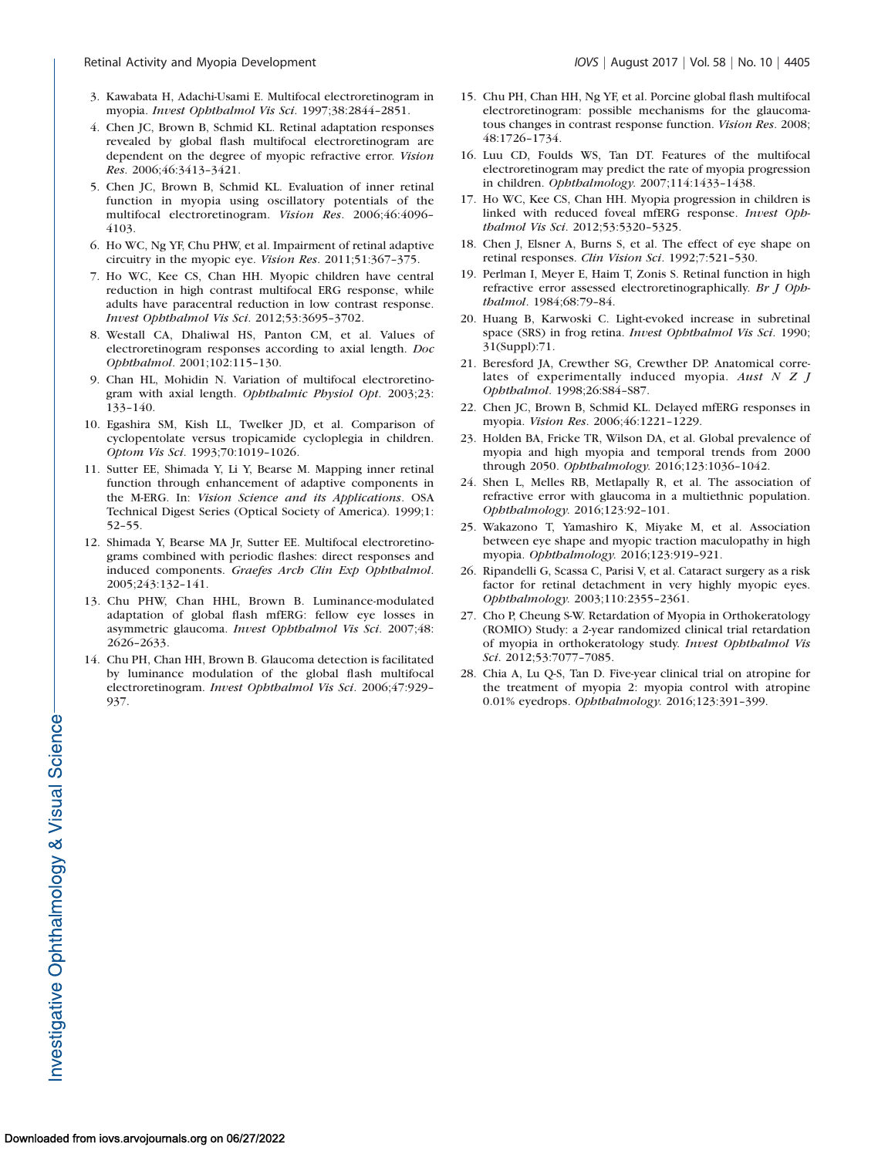- 3. Kawabata H, Adachi-Usami E. Multifocal electroretinogram in myopia. Invest Ophthalmol Vis Sci. 1997;38:2844–2851.
- 4. Chen JC, Brown B, Schmid KL. Retinal adaptation responses revealed by global flash multifocal electroretinogram are dependent on the degree of myopic refractive error. Vision Res. 2006;46:3413–3421.
- 5. Chen JC, Brown B, Schmid KL. Evaluation of inner retinal function in myopia using oscillatory potentials of the multifocal electroretinogram. Vision Res. 2006;46:4096– 4103.
- 6. Ho WC, Ng YF, Chu PHW, et al. Impairment of retinal adaptive circuitry in the myopic eye. Vision Res. 2011;51:367–375.
- 7. Ho WC, Kee CS, Chan HH. Myopic children have central reduction in high contrast multifocal ERG response, while adults have paracentral reduction in low contrast response. Invest Ophthalmol Vis Sci. 2012;53:3695–3702.
- 8. Westall CA, Dhaliwal HS, Panton CM, et al. Values of electroretinogram responses according to axial length. Doc Ophthalmol. 2001;102:115–130.
- 9. Chan HL, Mohidin N. Variation of multifocal electroretinogram with axial length. Ophthalmic Physiol Opt. 2003;23: 133–140.
- 10. Egashira SM, Kish LL, Twelker JD, et al. Comparison of cyclopentolate versus tropicamide cycloplegia in children. Optom Vis Sci. 1993;70:1019–1026.
- 11. Sutter EE, Shimada Y, Li Y, Bearse M. Mapping inner retinal function through enhancement of adaptive components in the M-ERG. In: Vision Science and its Applications. OSA Technical Digest Series (Optical Society of America). 1999;1: 52–55.
- 12. Shimada Y, Bearse MA Jr, Sutter EE. Multifocal electroretinograms combined with periodic flashes: direct responses and induced components. Graefes Arch Clin Exp Ophthalmol. 2005;243:132–141.
- 13. Chu PHW, Chan HHL, Brown B. Luminance-modulated adaptation of global flash mfERG: fellow eye losses in asymmetric glaucoma. Invest Ophthalmol Vis Sci. 2007;48: 2626–2633.
- 14. Chu PH, Chan HH, Brown B. Glaucoma detection is facilitated by luminance modulation of the global flash multifocal electroretinogram. Invest Ophthalmol Vis Sci. 2006;47:929– 937.
- 15. Chu PH, Chan HH, Ng YF, et al. Porcine global flash multifocal electroretinogram: possible mechanisms for the glaucomatous changes in contrast response function. Vision Res. 2008; 48:1726–1734.
- 16. Luu CD, Foulds WS, Tan DT. Features of the multifocal electroretinogram may predict the rate of myopia progression in children. Ophthalmology. 2007;114:1433–1438.
- 17. Ho WC, Kee CS, Chan HH. Myopia progression in children is linked with reduced foveal mfERG response. Invest Ophthalmol Vis Sci. 2012;53:5320–5325.
- 18. Chen J, Elsner A, Burns S, et al. The effect of eye shape on retinal responses. Clin Vision Sci. 1992;7:521–530.
- 19. Perlman I, Meyer E, Haim T, Zonis S. Retinal function in high refractive error assessed electroretinographically. Br J Ophthalmol. 1984;68:79–84.
- 20. Huang B, Karwoski C. Light-evoked increase in subretinal space (SRS) in frog retina. Invest Ophthalmol Vis Sci. 1990; 31(Suppl):71.
- 21. Beresford JA, Crewther SG, Crewther DP. Anatomical correlates of experimentally induced myopia. Aust  $N Z J$ Ophthalmol. 1998;26:S84–S87.
- 22. Chen JC, Brown B, Schmid KL. Delayed mfERG responses in myopia. Vision Res. 2006;46:1221–1229.
- 23. Holden BA, Fricke TR, Wilson DA, et al. Global prevalence of myopia and high myopia and temporal trends from 2000 through 2050. Ophthalmology. 2016;123:1036–1042.
- 24. Shen L, Melles RB, Metlapally R, et al. The association of refractive error with glaucoma in a multiethnic population. Ophthalmology. 2016;123:92–101.
- 25. Wakazono T, Yamashiro K, Miyake M, et al. Association between eye shape and myopic traction maculopathy in high myopia. Ophthalmology. 2016;123:919–921.
- 26. Ripandelli G, Scassa C, Parisi V, et al. Cataract surgery as a risk factor for retinal detachment in very highly myopic eyes. Ophthalmology. 2003;110:2355–2361.
- 27. Cho P, Cheung S-W. Retardation of Myopia in Orthokeratology (ROMIO) Study: a 2-year randomized clinical trial retardation of myopia in orthokeratology study. Invest Ophthalmol Vis Sci. 2012;53:7077–7085.
- 28. Chia A, Lu Q-S, Tan D. Five-year clinical trial on atropine for the treatment of myopia 2: myopia control with atropine 0.01% eyedrops. Ophthalmology. 2016;123:391–399.